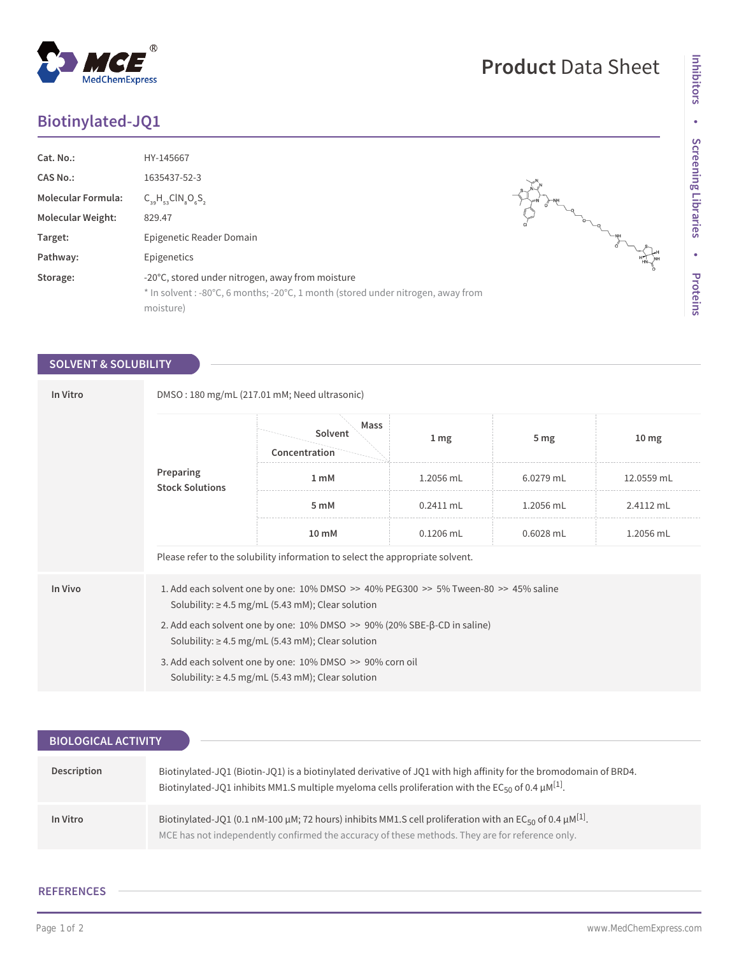## **Biotinylated-JQ1**

| Cat. No.:                 | HY-145667                                                                                                                                        |  |
|---------------------------|--------------------------------------------------------------------------------------------------------------------------------------------------|--|
| CAS No.:                  | 1635437-52-3                                                                                                                                     |  |
| <b>Molecular Formula:</b> | $C_{39}H_{53}CIN_{8}O_{6}S_{2}$                                                                                                                  |  |
| <b>Molecular Weight:</b>  | 829.47                                                                                                                                           |  |
| Target:                   | Epigenetic Reader Domain                                                                                                                         |  |
| Pathway:                  | Epigenetics                                                                                                                                      |  |
| Storage:                  | -20°C, stored under nitrogen, away from moisture<br>* In solvent: -80°C, 6 months; -20°C, 1 month (stored under nitrogen, away from<br>moisture) |  |

## **SOLVENT & SOLUBILITY**

| In Vitro | DMSO: 180 mg/mL (217.01 mM; Need ultrasonic)                                                                                                                 |                                  |                 |                 |                  |  |  |
|----------|--------------------------------------------------------------------------------------------------------------------------------------------------------------|----------------------------------|-----------------|-----------------|------------------|--|--|
|          | Preparing<br><b>Stock Solutions</b>                                                                                                                          | Mass<br>Solvent<br>Concentration | 1 <sub>mg</sub> | 5 <sub>mg</sub> | 10 <sub>mg</sub> |  |  |
|          |                                                                                                                                                              | 1 <sub>m</sub> M                 | 1.2056 mL       | $6.0279$ mL     | 12.0559 mL       |  |  |
|          |                                                                                                                                                              | 5 mM                             | $0.2411$ mL     | 1.2056 mL       | 2.4112 mL        |  |  |
|          |                                                                                                                                                              | 10 mM                            | $0.1206$ mL     | 0.6028 mL       | 1.2056 mL        |  |  |
|          | Please refer to the solubility information to select the appropriate solvent.                                                                                |                                  |                 |                 |                  |  |  |
| In Vivo  | 1. Add each solvent one by one: $10\%$ DMSO $\geq$ 40% PEG300 $\geq$ 5% Tween-80 $\geq$ 45% saline<br>Solubility: $\geq$ 4.5 mg/mL (5.43 mM); Clear solution |                                  |                 |                 |                  |  |  |
|          | 2. Add each solvent one by one: $10\%$ DMSO $\gg$ 90% (20% SBE- $\beta$ -CD in saline)<br>Solubility: $\geq 4.5$ mg/mL (5.43 mM); Clear solution             |                                  |                 |                 |                  |  |  |
|          | 3. Add each solvent one by one: 10% DMSO >> 90% corn oil<br>Solubility: $\geq 4.5$ mg/mL (5.43 mM); Clear solution                                           |                                  |                 |                 |                  |  |  |

| <b>BIOLOGICAL ACTIVITY</b> |                                                                                                                                                                                                                                                     |
|----------------------------|-----------------------------------------------------------------------------------------------------------------------------------------------------------------------------------------------------------------------------------------------------|
|                            |                                                                                                                                                                                                                                                     |
| Description                | Biotinylated-JQ1 (Biotin-JQ1) is a biotinylated derivative of JQ1 with high affinity for the bromodomain of BRD4.<br>Biotinylated-JQ1 inhibits MM1.S multiple myeloma cells proliferation with the EC <sub>50</sub> of 0.4 $\mu$ M <sup>[1]</sup> . |
| In Vitro                   | Biotinylated-JQ1 (0.1 nM-100 µM; 72 hours) inhibits MM1.S cell proliferation with an EC <sub>50</sub> of 0.4 µM <sup>[1]</sup> .<br>MCE has not independently confirmed the accuracy of these methods. They are for reference only.                 |

## **REFERENCES**

 $\overline{a}$ 

 $\begin{picture}(120,110) \put(0,0){\line(1,0){155}} \put(15,0){\line(1,0){155}} \put(15,0){\line(1,0){155}} \put(15,0){\line(1,0){155}} \put(15,0){\line(1,0){155}} \put(15,0){\line(1,0){155}} \put(15,0){\line(1,0){155}} \put(15,0){\line(1,0){155}} \put(15,0){\line(1,0){155}} \put(15,0){\line(1,0){155}} \put(15,0){\line(1,0){155$